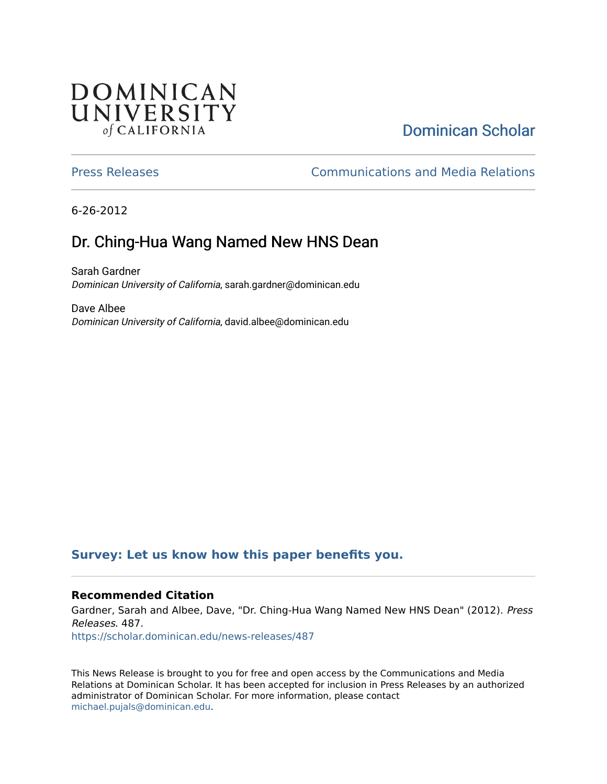## **DOMINICAN** UNIVERSITY of CALIFORNIA

# [Dominican Scholar](https://scholar.dominican.edu/)

[Press Releases](https://scholar.dominican.edu/news-releases) [Communications and Media Relations](https://scholar.dominican.edu/communications-media) 

6-26-2012

# Dr. Ching-Hua Wang Named New HNS Dean

Sarah Gardner Dominican University of California, sarah.gardner@dominican.edu

Dave Albee Dominican University of California, david.albee@dominican.edu

### **[Survey: Let us know how this paper benefits you.](https://dominican.libwizard.com/dominican-scholar-feedback)**

#### **Recommended Citation**

Gardner, Sarah and Albee, Dave, "Dr. Ching-Hua Wang Named New HNS Dean" (2012). Press Releases. 487.

[https://scholar.dominican.edu/news-releases/487](https://scholar.dominican.edu/news-releases/487?utm_source=scholar.dominican.edu%2Fnews-releases%2F487&utm_medium=PDF&utm_campaign=PDFCoverPages)

This News Release is brought to you for free and open access by the Communications and Media Relations at Dominican Scholar. It has been accepted for inclusion in Press Releases by an authorized administrator of Dominican Scholar. For more information, please contact [michael.pujals@dominican.edu.](mailto:michael.pujals@dominican.edu)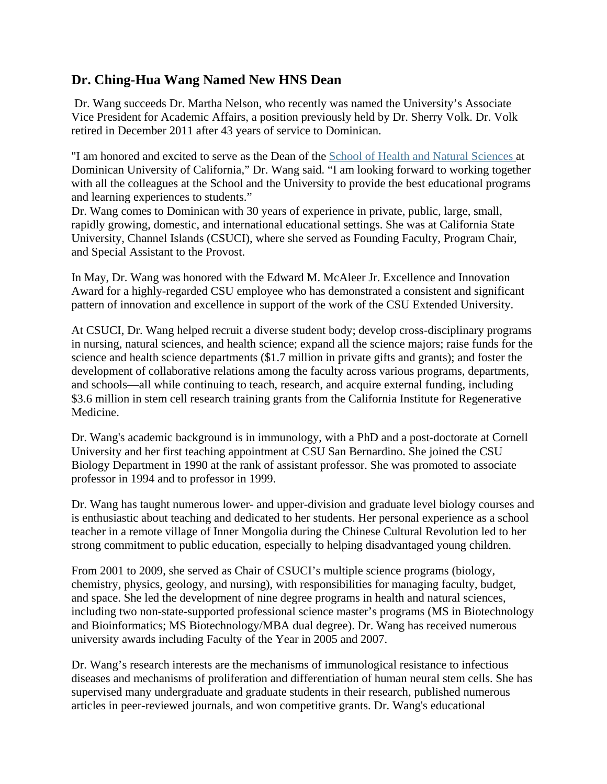### **Dr. Ching-Hua Wang Named New HNS Dean**

 Dr. Wang succeeds Dr. Martha Nelson, who recently was named the University's Associate Vice President for Academic Affairs, a position previously held by Dr. Sherry Volk. Dr. Volk retired in December 2011 after 43 years of service to Dominican.

"I am honored and excited to serve as the Dean of the School of Health and Natural Sciences at Dominican University of California," Dr. Wang said. "I am looking forward to working together with all the colleagues at the School and the University to provide the best educational programs and learning experiences to students."

Dr. Wang comes to Dominican with 30 years of experience in private, public, large, small, rapidly growing, domestic, and international educational settings. She was at California State University, Channel Islands (CSUCI), where she served as Founding Faculty, Program Chair, and Special Assistant to the Provost.

In May, Dr. Wang was honored with the Edward M. McAleer Jr. Excellence and Innovation Award for a highly-regarded CSU employee who has demonstrated a consistent and significant pattern of innovation and excellence in support of the work of the CSU Extended University.

At CSUCI, Dr. Wang helped recruit a diverse student body; develop cross-disciplinary programs in nursing, natural sciences, and health science; expand all the science majors; raise funds for the science and health science departments (\$1.7 million in private gifts and grants); and foster the development of collaborative relations among the faculty across various programs, departments, and schools—all while continuing to teach, research, and acquire external funding, including \$3.6 million in stem cell research training grants from the California Institute for Regenerative Medicine.

Dr. Wang's academic background is in immunology, with a PhD and a post-doctorate at Cornell University and her first teaching appointment at CSU San Bernardino. She joined the CSU Biology Department in 1990 at the rank of assistant professor. She was promoted to associate professor in 1994 and to professor in 1999.

Dr. Wang has taught numerous lower- and upper-division and graduate level biology courses and is enthusiastic about teaching and dedicated to her students. Her personal experience as a school teacher in a remote village of Inner Mongolia during the Chinese Cultural Revolution led to her strong commitment to public education, especially to helping disadvantaged young children.

From 2001 to 2009, she served as Chair of CSUCI's multiple science programs (biology, chemistry, physics, geology, and nursing), with responsibilities for managing faculty, budget, and space. She led the development of nine degree programs in health and natural sciences, including two non-state-supported professional science master's programs (MS in Biotechnology and Bioinformatics; MS Biotechnology/MBA dual degree). Dr. Wang has received numerous university awards including Faculty of the Year in 2005 and 2007.

Dr. Wang's research interests are the mechanisms of immunological resistance to infectious diseases and mechanisms of proliferation and differentiation of human neural stem cells. She has supervised many undergraduate and graduate students in their research, published numerous articles in peer-reviewed journals, and won competitive grants. Dr. Wang's educational